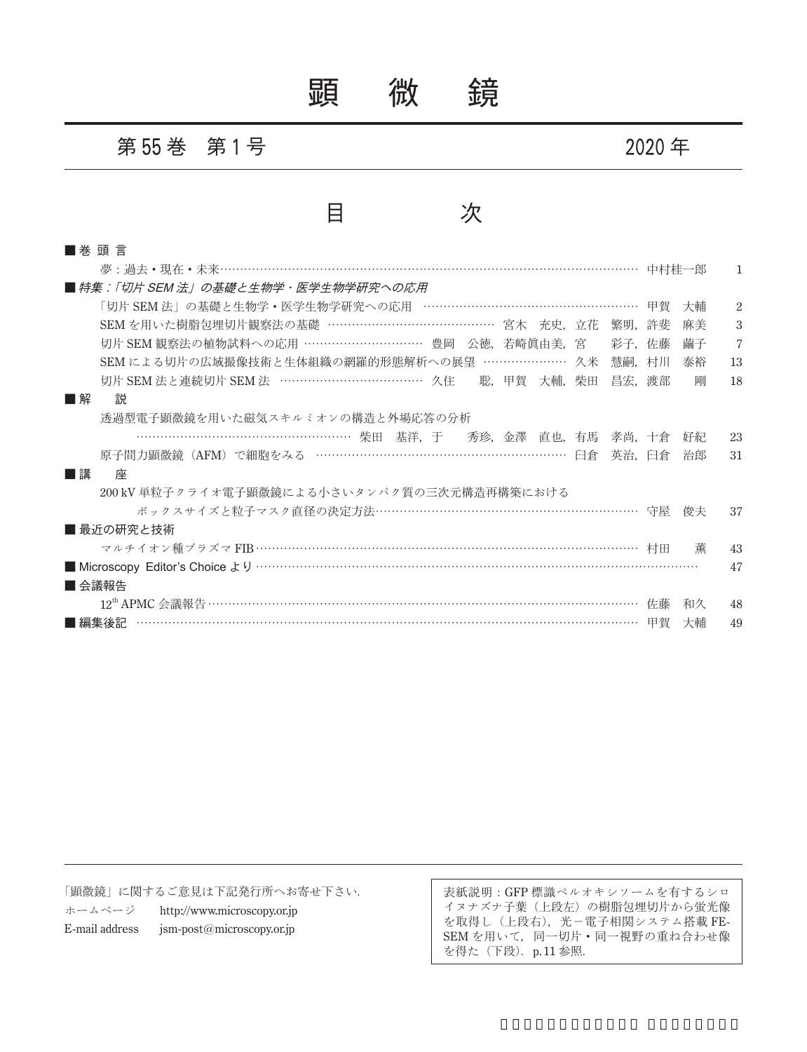顕 微 鏡

第 **55** 巻 第 **1** 号 **2020** 年

## 目 次

| ■ 巻 頭 言                                                      |    |    |                |
|--------------------------------------------------------------|----|----|----------------|
| 夢: 過去·現在·未来…………………………………………………………………………………………… 中村桂一郎         |    |    |                |
| ■ 特集:「切片 SEM 法」の基礎と生物学・医学生物学研究への応用                           |    |    |                |
| 「切片 SEM 法」の基礎と生物学・医学生物学研究への応用 ……………………………………………… 甲賀          |    | 大輔 | 2              |
| SEM を用いた樹脂包埋切片観察法の基礎 …………………………………… 宮木 充史、立花 繁明、許斐           |    | 麻美 | 3              |
| 切片 SEM 観察法の植物試料への応用 ………………………… 豊岡 公徳,若崎眞由美,宮<br>彩子,佐藤        |    | 繭子 | $\overline{7}$ |
| SEM による切片の広域撮像技術と生体組織の網羅的形態解析への展望 ………………… 久米<br>慧嗣.          | 村川 | 泰裕 | 13             |
| 切片 SEM 法と連続切片 SEM 法 ………………………………… 久住 – 聡, 甲賀 大輔, 柴田<br>昌宏.渡部 |    | 剛  | 18             |
| ■解<br>説                                                      |    |    |                |
| 透過型電子顕微鏡を用いた磁気スキルミオンの構造と外場応答の分析                              |    |    |                |
|                                                              |    | 好紀 | 23             |
| 原子間力顕微鏡 (AFM) で細胞をみる ………………………………………………………… 臼倉<br>英治.臼倉      |    | 治郎 | 31             |
| ■講<br>座                                                      |    |    |                |
| 200 kV 単粒子クライオ雷子顕微鏡による小さいタンパク質の三次元構造再構築における                  |    |    |                |
| ボックスサイズと粒子マスク直径の決定方法…………………………………………………………… 守屋               |    | 俊夫 | 37             |
| ■ 最近の研究と技術                                                   |    |    |                |
| マルチイオン種プラズマ FIB ……………………………………………………………………………………… 村田         |    | 董  | 43             |
|                                                              |    |    | 47             |
| ■ 会議報告                                                       |    |    |                |
|                                                              |    | 和久 | 48             |
| ■編集後記                                                        |    | 大輔 | 49             |

「顕微鏡」に関するご意見は下記発行所へお寄せ下さい. ホームページ http://www.microscopy.or.jp E-mail address jsm-post@microscopy.or.jp

表紙説明:GFP 標識ペルオキシソームを有するシロ イヌナズナ子葉(上段左)の樹脂包埋切片から蛍光像 を取得し(上段右),光-電子相関システム搭載 FE-SEM を用いて、同一切片·同一視野の重ね合わせ像 を得た (下段). p.11 参照.